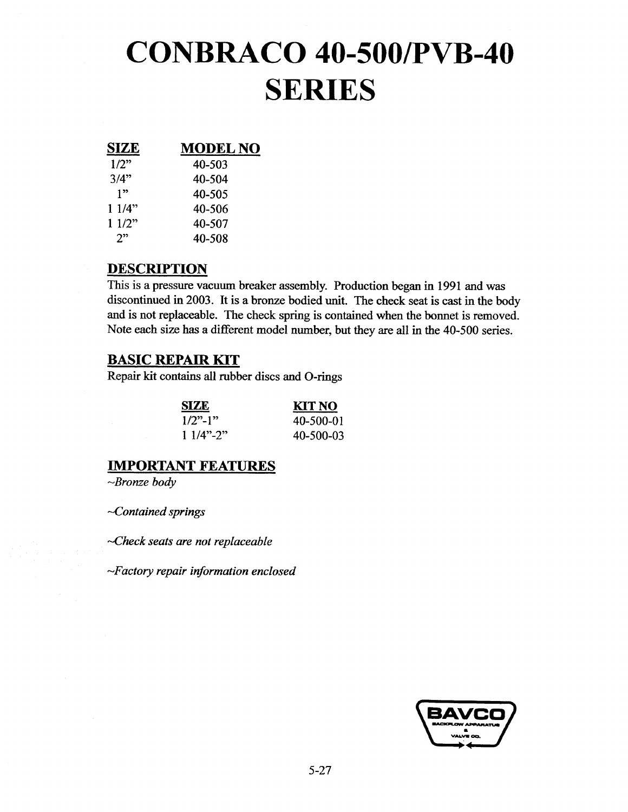# CONBRACO 40-500/PVB-40 SERIES

| SIZE  | <b>MODEL NO</b> |
|-------|-----------------|
| 1/2"  | 40-503          |
| 3/4"  | 40-504          |
| 1"    | 40-505          |
| 11/4" | 40-506          |
| 11/2" | 40-507          |
| 2"    | 40-508          |
|       |                 |

#### DESCRIPTION

This is a pressure vacuum breaker assembly. Production began in 1991 and was discontinued in 2003. It is a bronze bodied unit. The check seat is cast in the body and is not replaceable. The check spring is contained when the bonnet is removed. Note each size has a different model number, but they are all in the 40-500 series.

#### BASIC REPAIR KIT

Repair kit contains all rubber discs and O-rings

| SIZE.       | KIT NO    |
|-------------|-----------|
| $1/2$ "-1"  | 40-500-01 |
| $11/4$ "-2" | 40-500-03 |

#### IMPORTANT FEATURES

 $\sim$ Bronze body

 $\sim$ Contained springs

Check seats are not replaceable

Factory repair information enclosed

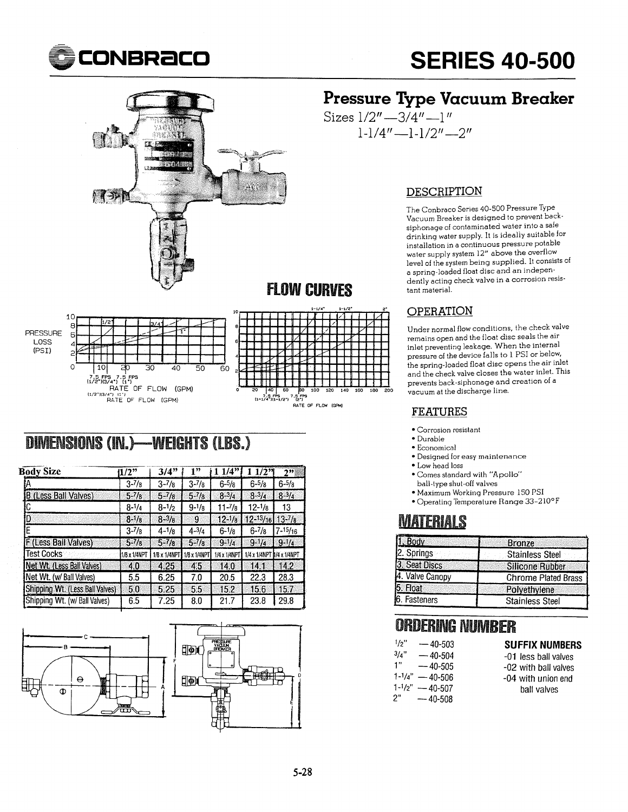



### FLOW CURVES





### DIMENSIONS (IN.)-WEIGHTS (LBS.)

| 1/2"              | 3/4"              | 1"                | 1/4"               |                   | 2"                                                                                        |
|-------------------|-------------------|-------------------|--------------------|-------------------|-------------------------------------------------------------------------------------------|
| $3 - \frac{7}{8}$ | $3 - \frac{7}{8}$ | $3 - \frac{7}{8}$ | $6 - 5/8$          | $6 - 5/8$         | $6 - 5/8$                                                                                 |
| $5 - 7/8$         | $5 - \frac{7}{8}$ | $5 - \frac{7}{8}$ | $8 - 3/4$          | $8 - \frac{3}{4}$ | $8 - 3/4$                                                                                 |
| $8 - \frac{1}{4}$ | $8 - \frac{1}{2}$ | $9 - \frac{1}{8}$ | $11 - \frac{7}{8}$ | 12-1/8            | 13                                                                                        |
| $8 - \frac{1}{8}$ | $8 - \frac{3}{8}$ | 9                 | $12 - \frac{1}{8}$ |                   |                                                                                           |
| $3 - \frac{7}{8}$ | $4 - \frac{1}{8}$ | $4 - 3/4$         | $6 - \frac{1}{8}$  | $6 - \frac{7}{8}$ | 7-15/ <sub>16</sub>                                                                       |
| $5 - \frac{7}{8}$ | $5 - \frac{7}{8}$ | $5 - \frac{7}{8}$ | $9-1/4$            | $9 - \frac{1}{4}$ | $9-1/4$                                                                                   |
| 1/8 x 1/4NPT      | 1/8 x 1/4NP1      | 1/8 x 1/4NPT      | 1/4 x 1/4NP1       |                   |                                                                                           |
| 4.0               | 4.25              | 4.5               | 14.0               | 14.1              | 14.2                                                                                      |
| 5.5               | 6.25              | 7.0               | 20.5               | 22.3              | 28.3                                                                                      |
| 5.0               | 5.25              | 5.5               | 15.2               | 15.6              | 15.7                                                                                      |
| 6.5               | 7.25              | 8.0               | 21.7               | 23.8              | 29.8                                                                                      |
|                   |                   |                   |                    |                   | $1/2$ <sup>3</sup><br>$12 - \frac{13}{16}$ 13- $\frac{7}{8}$<br>1/4 x 1/4NPT 1/4 x 1/4NPT |



## CONBRACO SERIES 40-500

### Pressure Type Vacuum Breaker

Sizes  $1/2'' - 3/4'' - 1''$  $1-1/4"$  -1-1/2" -- 2"

#### DESCRIPTION

The Conbraco Series 40-500 Pressure Type Vacuum Breaker is designed to prevent backsiphonage of contaminated water into a safe drinking water supply. It is ideally suitable installation in continuous pressure potable water supply system 12" above the overtlow level ot the system being supplied. It consists of a spring-loaded float disc and an independently acting check valve in a corrosion resistant material.

#### OPERATION

Under normal flow conditions, the check valve remains open and the float disc seals the air inlet preventing leakage. When the internal pressure of the device falls to 1 PSI or below, the spring-loaded tloat disc opens the air inlet and the check valve closes the water inlet. This prevents back-siphonage and creation of vacuum at the discharge line.

#### FEATURES

- Corrosion resistant
- Durable
- Economical
- Designed for easy maintenance
- Low head loss Comes standard with "Apollo"
- ball-type shut-oil valves
- Maximum Workiug Pressure 150 PSI
- Operating Temperature Range 33-2 l0 F

### **MATERIALS**

| 1. Body         | <b>Bronze</b>              |  |
|-----------------|----------------------------|--|
| 2. Springs      | <b>Stainless Steel</b>     |  |
| 3. Seat Discs   | <b>Silicone Rubber</b>     |  |
| 4. Valve Canopy | <b>Chrome Plated Brass</b> |  |
| 5. Float        | Polyethylene               |  |
| 6. Fasteners    | <b>Stainless Steel</b>     |  |

#### **ORDERING NUMBER**

| "1/2              | — 40-503    |
|-------------------|-------------|
| 3/a"              | — 40-504    |
| 1"                | $-40-505$   |
| $1 - \frac{1}{4}$ | $-40 - 506$ |
| $1 - \frac{1}{2}$ | $-40-507$   |
| 2"                | — 40-508    |

#### SUFFIX NUMBERS

-01 less ball valves -02 with ball valves -04 with union end ball valves